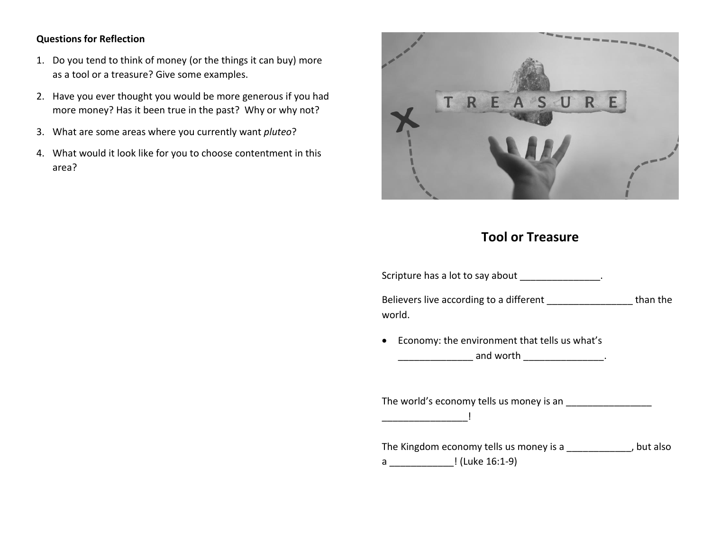## **Questions for Reflection**

- 1. Do you tend to think of money (or the things it can buy) more as a tool or a treasure? Give some examples.
- 2. Have you ever thought you would be more generous if you had more money? Has it been true in the past? Why or why not?
- 3. What are some areas where you currently want *pluteo*?
- 4. What would it look like for you to choose contentment in this area?



## **Tool or Treasure**

| Scripture has a lot to say about _______________.                                                        |  |
|----------------------------------------------------------------------------------------------------------|--|
| Believers live according to a different ____________________ than the<br>world.                          |  |
| • Economy: the environment that tells us what's<br>_____________________ and worth ____________________. |  |
|                                                                                                          |  |
| The Kingdom economy tells us money is a _____________, but also<br>a _________________! (Luke 16:1-9)    |  |